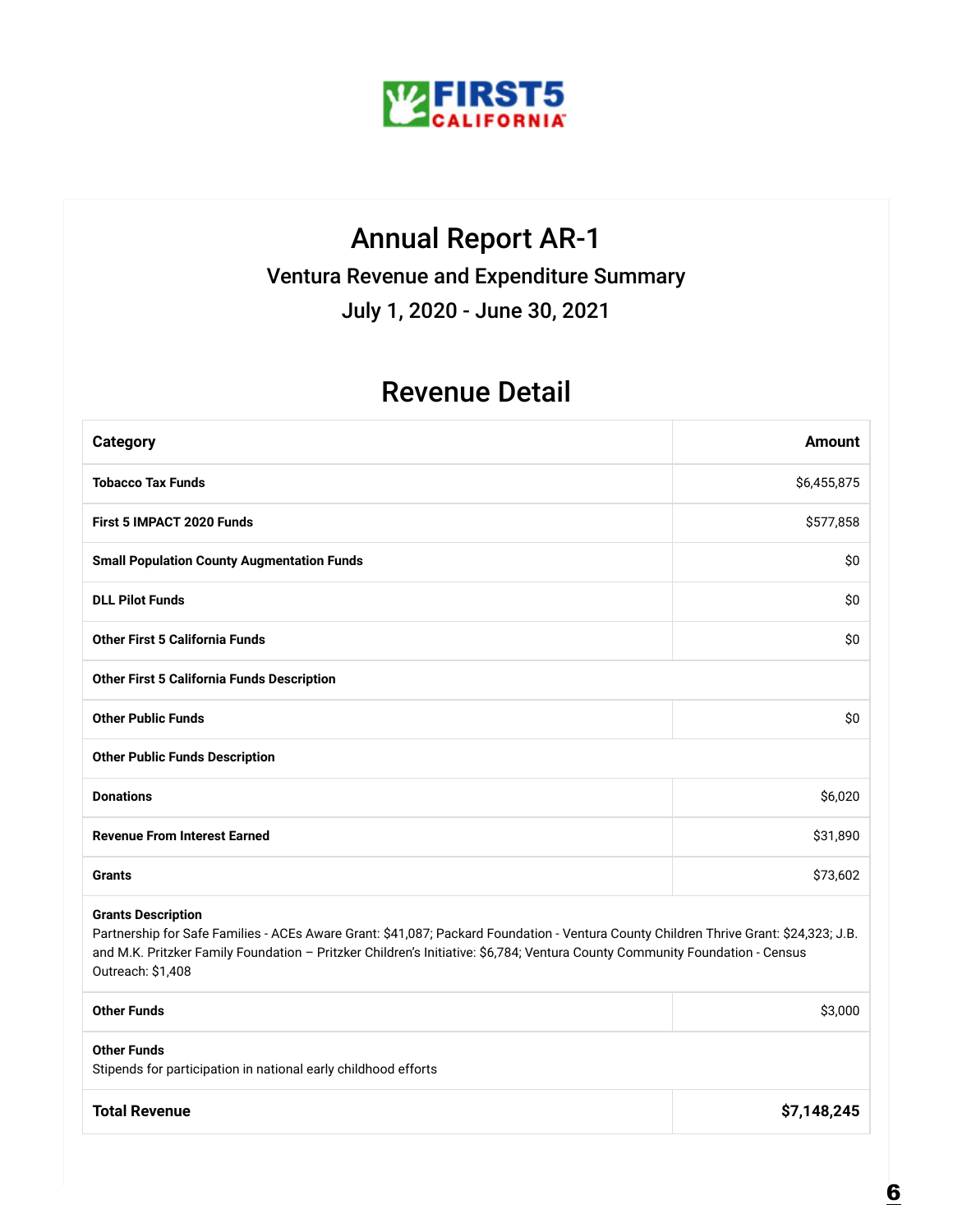

#### Annual Report AR-1

Ventura Revenue and Expenditure Summary

July 1, 2020 - June 30, 2021

#### Revenue Detail

| <b>Category</b>                                                                                                                                                                                                                                                                                                        | <b>Amount</b> |  |
|------------------------------------------------------------------------------------------------------------------------------------------------------------------------------------------------------------------------------------------------------------------------------------------------------------------------|---------------|--|
| <b>Tobacco Tax Funds</b>                                                                                                                                                                                                                                                                                               | \$6,455,875   |  |
| <b>First 5 IMPACT 2020 Funds</b>                                                                                                                                                                                                                                                                                       | \$577,858     |  |
| <b>Small Population County Augmentation Funds</b>                                                                                                                                                                                                                                                                      | \$0           |  |
| <b>DLL Pilot Funds</b>                                                                                                                                                                                                                                                                                                 | \$0           |  |
| <b>Other First 5 California Funds</b>                                                                                                                                                                                                                                                                                  | \$0           |  |
| <b>Other First 5 California Funds Description</b>                                                                                                                                                                                                                                                                      |               |  |
| <b>Other Public Funds</b>                                                                                                                                                                                                                                                                                              | \$0           |  |
| <b>Other Public Funds Description</b>                                                                                                                                                                                                                                                                                  |               |  |
| <b>Donations</b>                                                                                                                                                                                                                                                                                                       | \$6,020       |  |
| <b>Revenue From Interest Earned</b>                                                                                                                                                                                                                                                                                    | \$31,890      |  |
| <b>Grants</b>                                                                                                                                                                                                                                                                                                          | \$73,602      |  |
| <b>Grants Description</b><br>Partnership for Safe Families - ACEs Aware Grant: \$41,087; Packard Foundation - Ventura County Children Thrive Grant: \$24,323; J.B.<br>and M.K. Pritzker Family Foundation - Pritzker Children's Initiative: \$6,784; Ventura County Community Foundation - Census<br>Outreach: \$1,408 |               |  |
| <b>Other Funds</b>                                                                                                                                                                                                                                                                                                     | \$3,000       |  |
| <b>Other Funds</b><br>Stipends for participation in national early childhood efforts                                                                                                                                                                                                                                   |               |  |
| <b>Total Revenue</b>                                                                                                                                                                                                                                                                                                   | \$7,148,245   |  |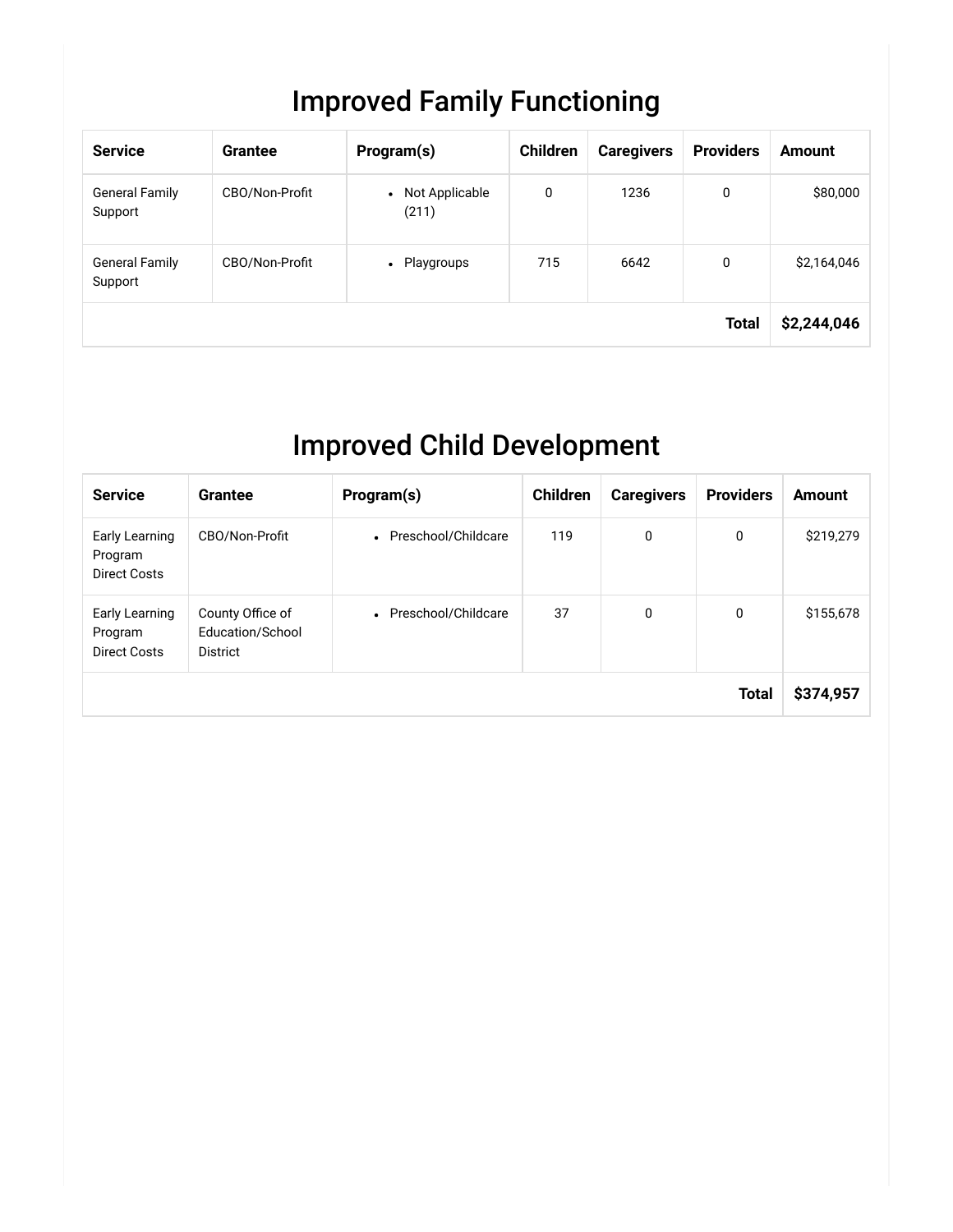## Improved Family Functioning

| <b>Service</b>                   | <b>Grantee</b> | Program(s)                           | <b>Children</b> | <b>Caregivers</b> | <b>Providers</b> | <b>Amount</b> |
|----------------------------------|----------------|--------------------------------------|-----------------|-------------------|------------------|---------------|
| <b>General Family</b><br>Support | CBO/Non-Profit | Not Applicable<br>$\bullet$<br>(211) | 0               | 1236              | 0                | \$80,000      |
| <b>General Family</b><br>Support | CBO/Non-Profit | Playgroups<br>$\bullet$              | 715             | 6642              | 0                | \$2,164,046   |
|                                  |                |                                      |                 |                   | <b>Total</b>     | \$2,244,046   |

## Improved Child Development

| <b>Service</b>                                   | Grantee                                          | Program(s)            | <b>Children</b> | <b>Caregivers</b> | <b>Providers</b> | <b>Amount</b> |
|--------------------------------------------------|--------------------------------------------------|-----------------------|-----------------|-------------------|------------------|---------------|
| Early Learning<br>Program<br><b>Direct Costs</b> | CBO/Non-Profit                                   | • Preschool/Childcare | 119             | 0                 | 0                | \$219,279     |
| Early Learning<br>Program<br><b>Direct Costs</b> | County Office of<br>Education/School<br>District | • Preschool/Childcare | 37              | 0                 | 0                | \$155,678     |
|                                                  |                                                  |                       |                 |                   | <b>Total</b>     | \$374,957     |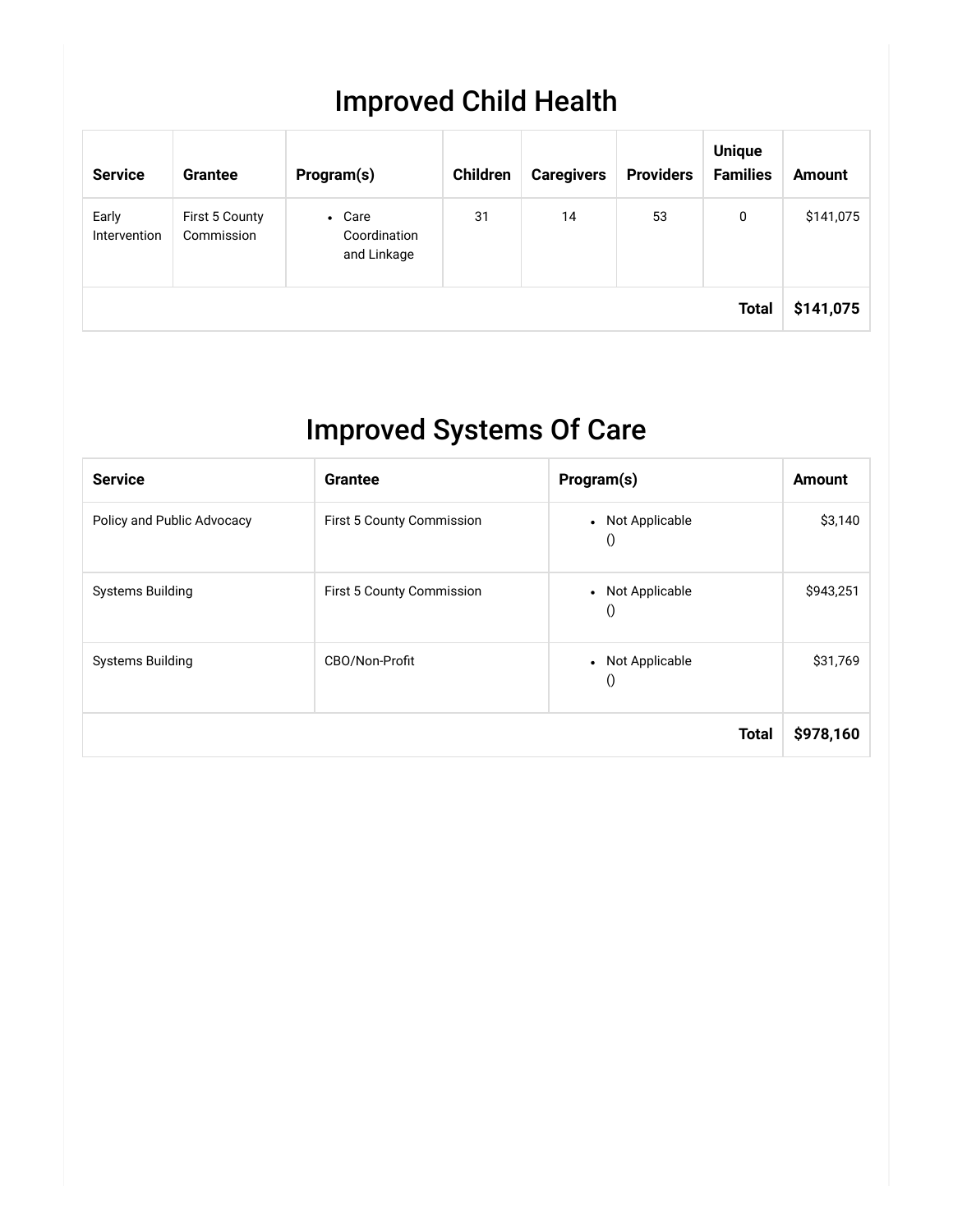## Improved Child Health

| <b>Service</b>        | <b>Grantee</b>               | Program(s)                                       | Children | <b>Caregivers</b> | <b>Providers</b> | <b>Unique</b><br><b>Families</b> | <b>Amount</b> |
|-----------------------|------------------------------|--------------------------------------------------|----------|-------------------|------------------|----------------------------------|---------------|
| Early<br>Intervention | First 5 County<br>Commission | Care<br>$\bullet$<br>Coordination<br>and Linkage | 31       | 14                | 53               | 0                                | \$141,075     |
|                       |                              |                                                  |          |                   |                  | <b>Total</b>                     | \$141,075     |

## Improved Systems Of Care

| <b>Service</b>             | <b>Grantee</b>            | Program(s)                   | <b>Amount</b> |
|----------------------------|---------------------------|------------------------------|---------------|
| Policy and Public Advocacy | First 5 County Commission | • Not Applicable<br>$\theta$ | \$3,140       |
| <b>Systems Building</b>    | First 5 County Commission | • Not Applicable<br>$\theta$ | \$943,251     |
| <b>Systems Building</b>    | CBO/Non-Profit            | • Not Applicable<br>$\theta$ | \$31,769      |
|                            |                           | <b>Total</b>                 | \$978,160     |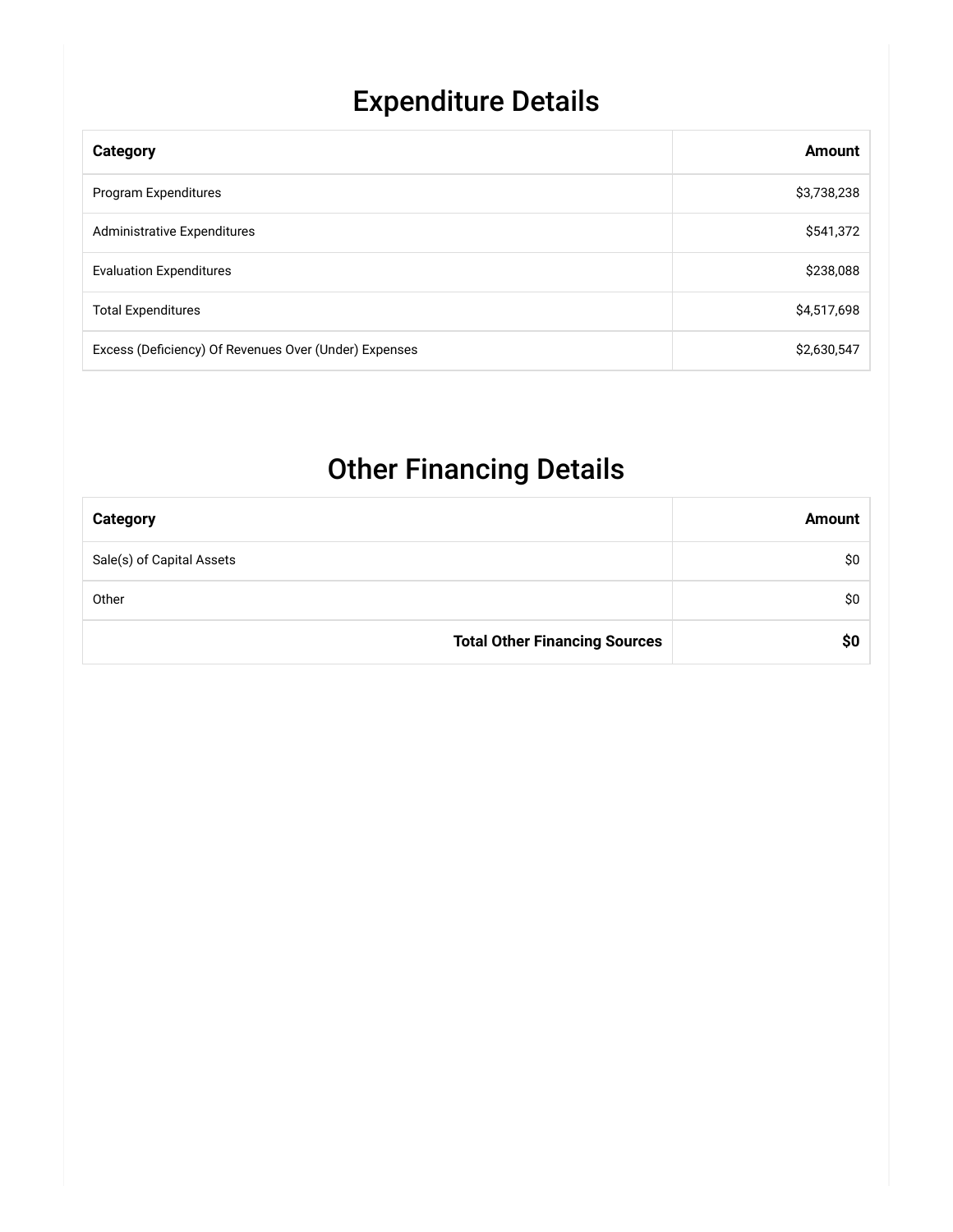# Expenditure Details

| Category                                              | Amount      |
|-------------------------------------------------------|-------------|
| Program Expenditures                                  | \$3,738,238 |
| <b>Administrative Expenditures</b>                    | \$541,372   |
| <b>Evaluation Expenditures</b>                        | \$238,088   |
| <b>Total Expenditures</b>                             | \$4,517,698 |
| Excess (Deficiency) Of Revenues Over (Under) Expenses | \$2,630,547 |

## Other Financing Details

| <b>Category</b>                      | <b>Amount</b> |
|--------------------------------------|---------------|
| Sale(s) of Capital Assets            | \$0           |
| Other                                | SO.           |
| <b>Total Other Financing Sources</b> |               |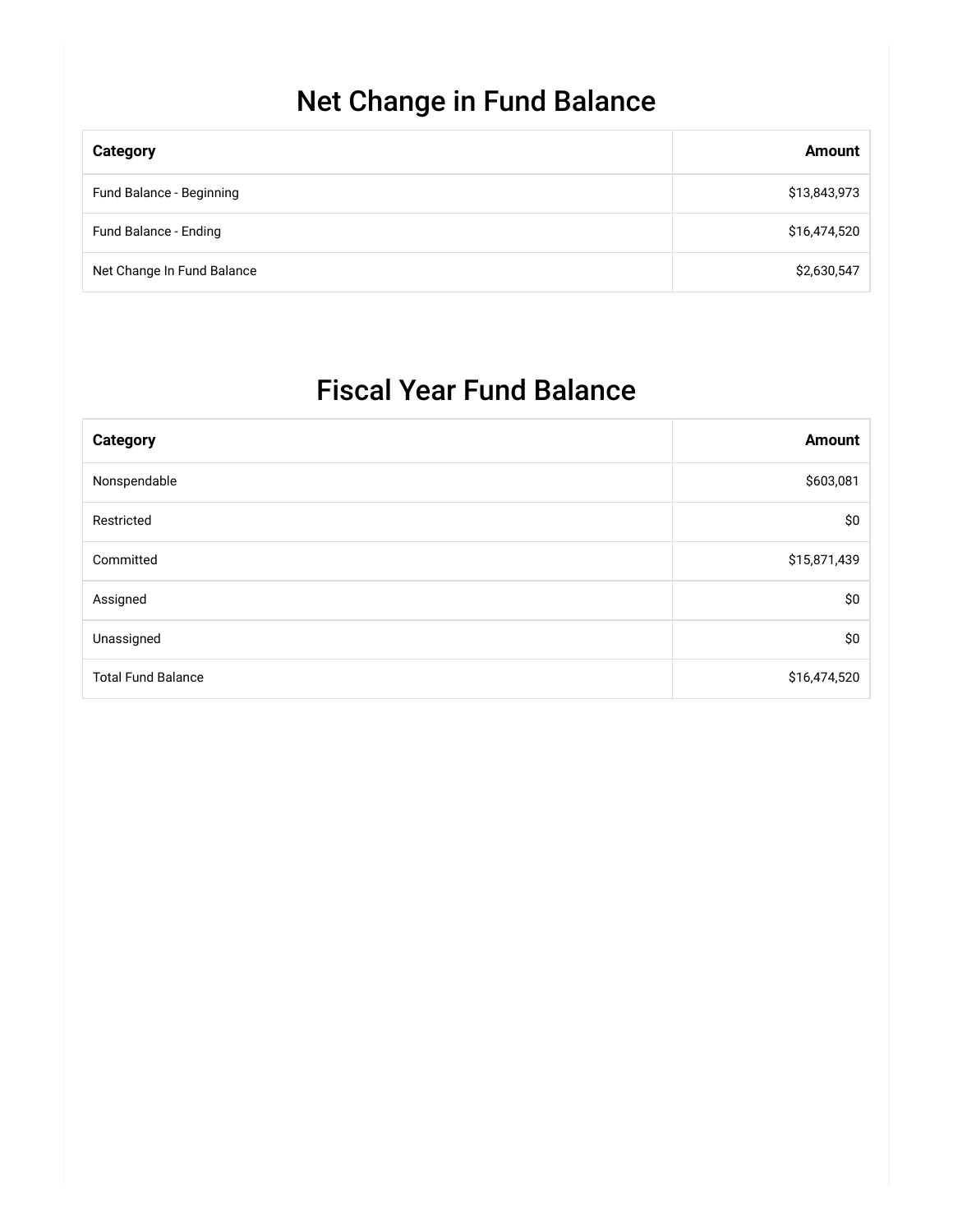## Net Change in Fund Balance

| <b>Category</b>            | <b>Amount</b> |
|----------------------------|---------------|
| Fund Balance - Beginning   | \$13,843,973  |
| Fund Balance - Ending      | \$16,474,520  |
| Net Change In Fund Balance | \$2,630,547   |

## Fiscal Year Fund Balance

| <b>Category</b>           | <b>Amount</b> |
|---------------------------|---------------|
| Nonspendable              | \$603,081     |
| Restricted                | \$0           |
| Committed                 | \$15,871,439  |
| Assigned                  | \$0           |
| Unassigned                | \$0           |
| <b>Total Fund Balance</b> | \$16,474,520  |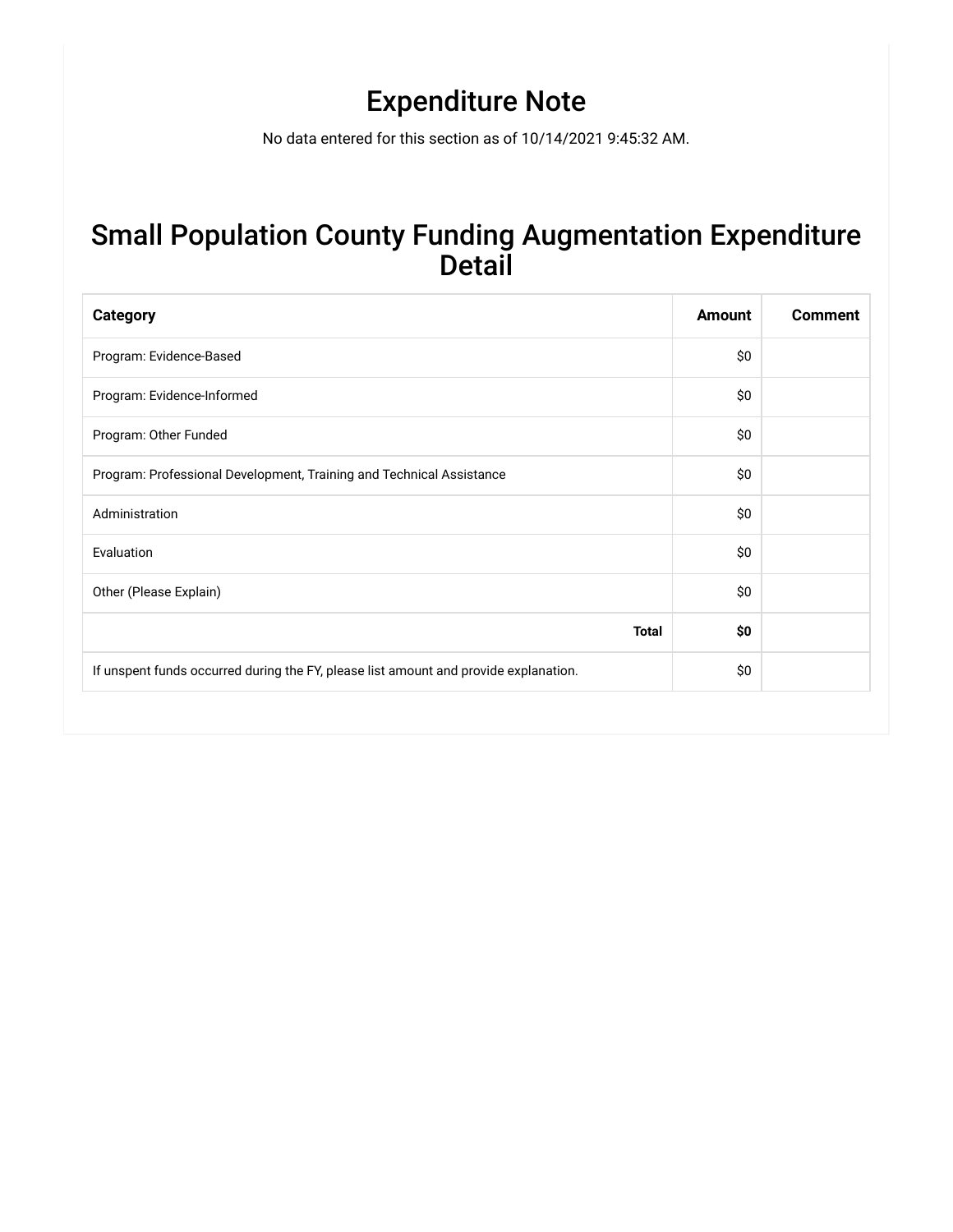## Expenditure Note

No data entered for this section as of 10/14/2021 9:45:32 AM.

#### Small Population County Funding Augmentation Expenditure Detail

| <b>Category</b>                                                                      | <b>Amount</b> | <b>Comment</b> |
|--------------------------------------------------------------------------------------|---------------|----------------|
| Program: Evidence-Based                                                              | \$0\$         |                |
| Program: Evidence-Informed                                                           | \$0           |                |
| Program: Other Funded                                                                | \$0           |                |
| Program: Professional Development, Training and Technical Assistance                 | \$0           |                |
| Administration                                                                       | \$0           |                |
| Evaluation                                                                           | \$0           |                |
| Other (Please Explain)                                                               | \$0           |                |
| <b>Total</b>                                                                         | \$0           |                |
| If unspent funds occurred during the FY, please list amount and provide explanation. | \$0           |                |
|                                                                                      |               |                |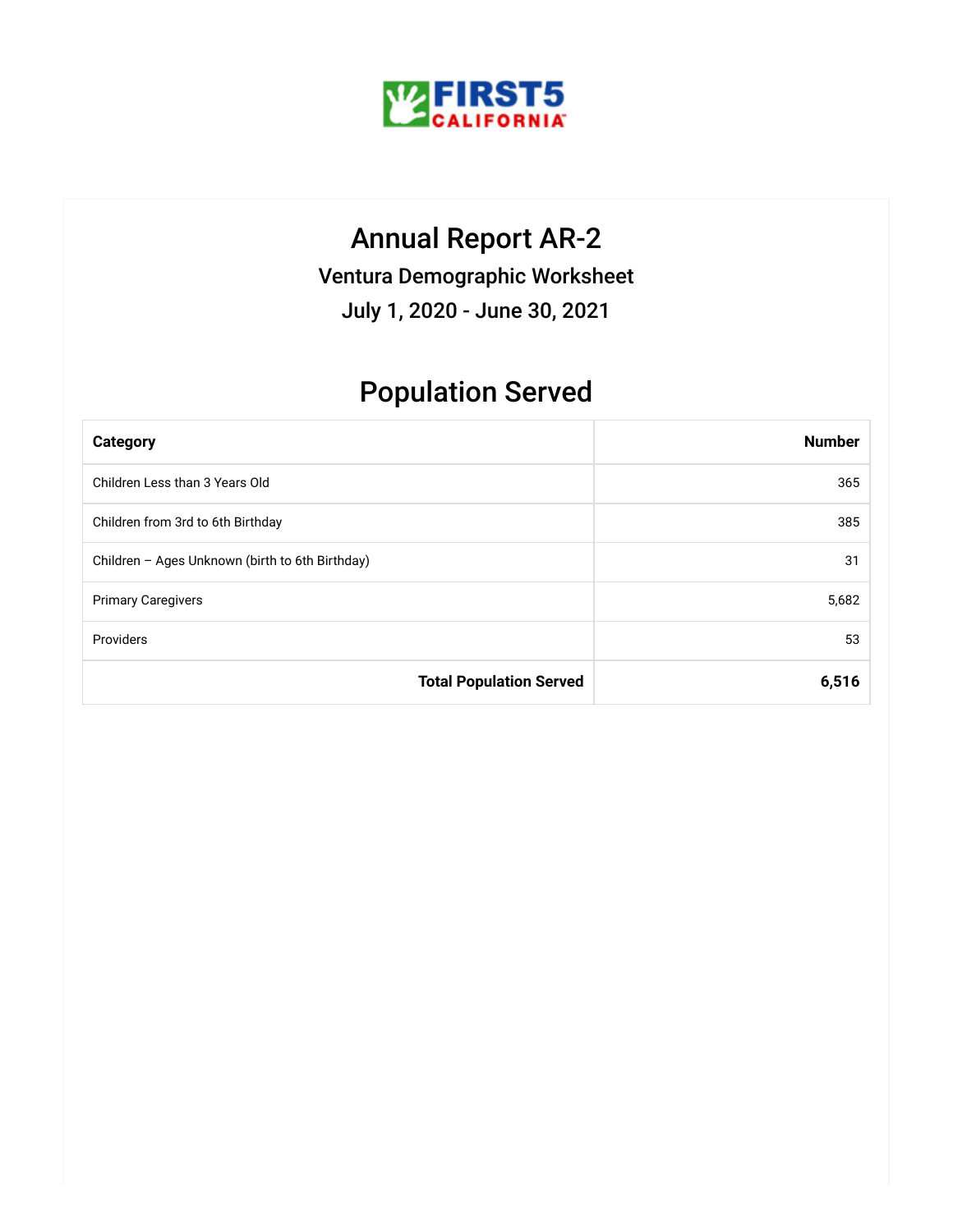

### Annual Report AR-2

Ventura Demographic Worksheet

July 1, 2020 - June 30, 2021

## Population Served

| <b>Category</b>                                 | <b>Number</b> |
|-------------------------------------------------|---------------|
| Children Less than 3 Years Old                  | 365           |
| Children from 3rd to 6th Birthday               | 385           |
| Children - Ages Unknown (birth to 6th Birthday) | 31            |
| <b>Primary Caregivers</b>                       | 5,682         |
| Providers                                       | 53            |
| <b>Total Population Served</b>                  | 6,516         |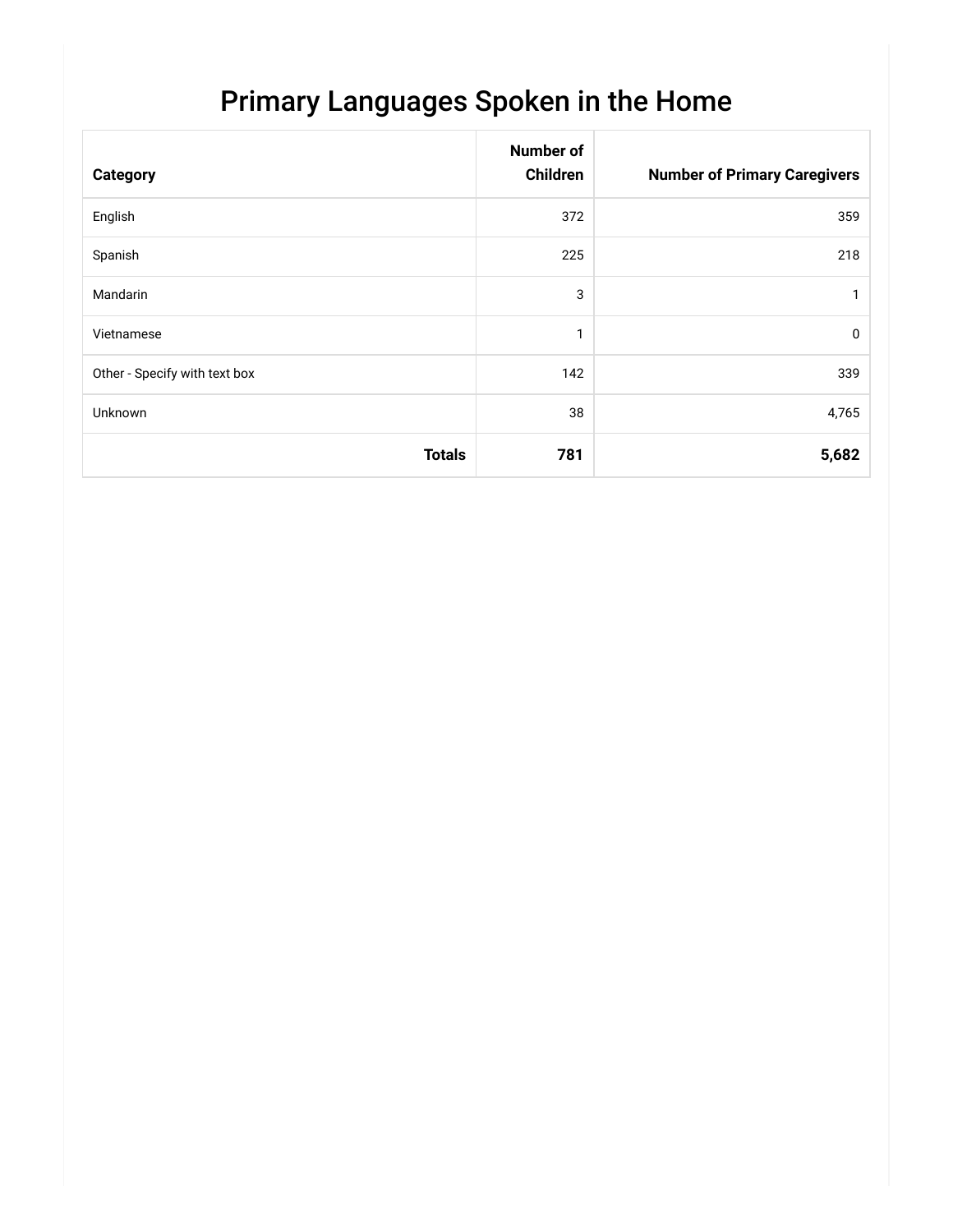## Primary Languages Spoken in the Home

| <b>Category</b>               | <b>Number of</b><br>Children | <b>Number of Primary Caregivers</b> |
|-------------------------------|------------------------------|-------------------------------------|
| English                       | 372                          | 359                                 |
| Spanish                       | 225                          | 218                                 |
| Mandarin                      | 3                            |                                     |
| Vietnamese                    | $\mathbf{1}$                 | $\mathbf 0$                         |
| Other - Specify with text box | 142                          | 339                                 |
| <b>Unknown</b>                | 38                           | 4,765                               |
| <b>Totals</b>                 | 781                          | 5,682                               |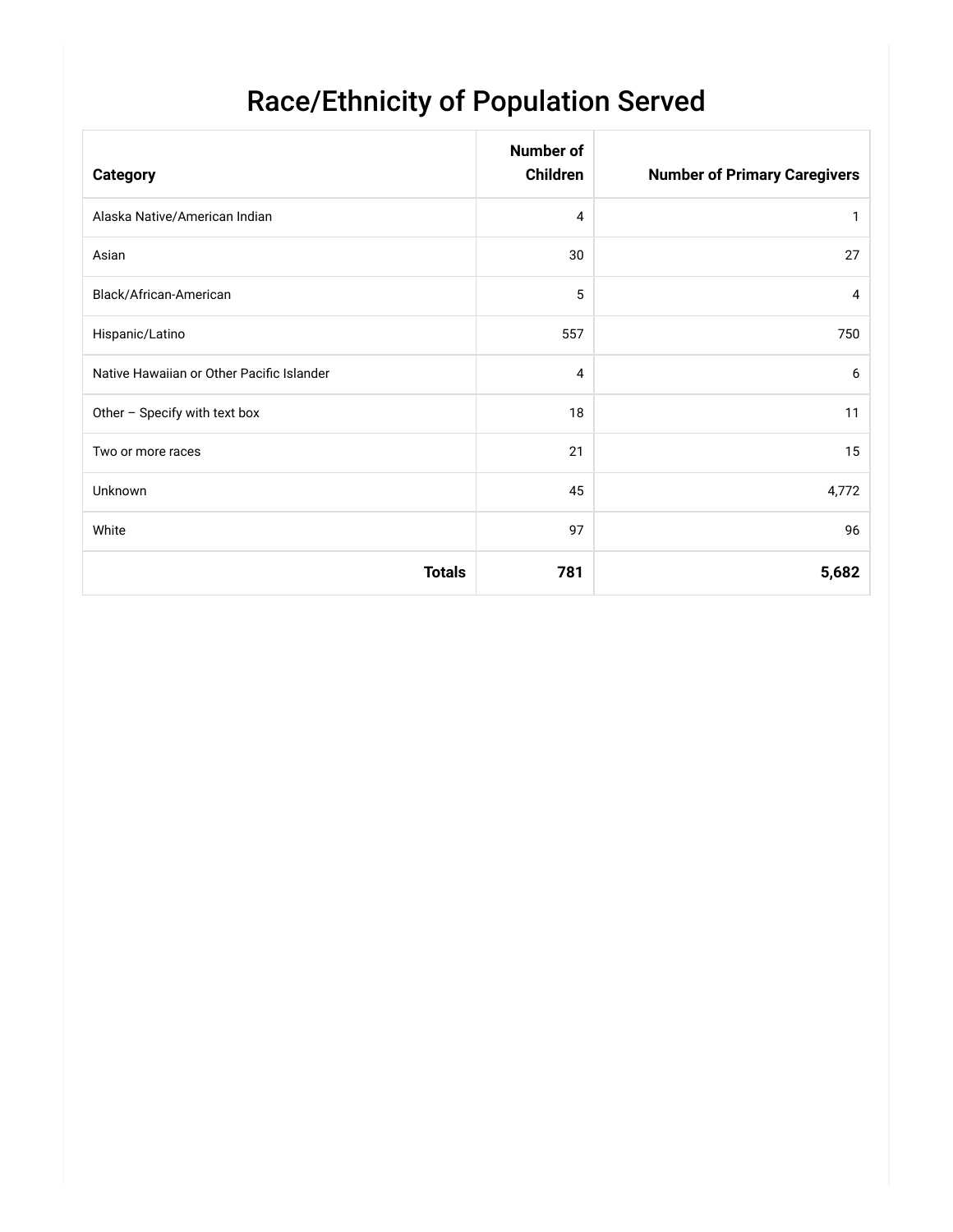# Race/Ethnicity of Population Served

| <b>Category</b>                           | <b>Number of</b><br>Children | <b>Number of Primary Caregivers</b> |
|-------------------------------------------|------------------------------|-------------------------------------|
| Alaska Native/American Indian             | 4                            | 1                                   |
| Asian                                     | 30                           | 27                                  |
| Black/African-American                    | 5                            | 4                                   |
| Hispanic/Latino                           | 557                          | 750                                 |
| Native Hawaiian or Other Pacific Islander | 4                            | 6                                   |
| Other - Specify with text box             | 18                           | 11                                  |
| Two or more races                         | 21                           | 15                                  |
| <b>Unknown</b>                            | 45                           | 4,772                               |
| White                                     | 97                           | 96                                  |
| <b>Totals</b>                             | 781                          | 5,682                               |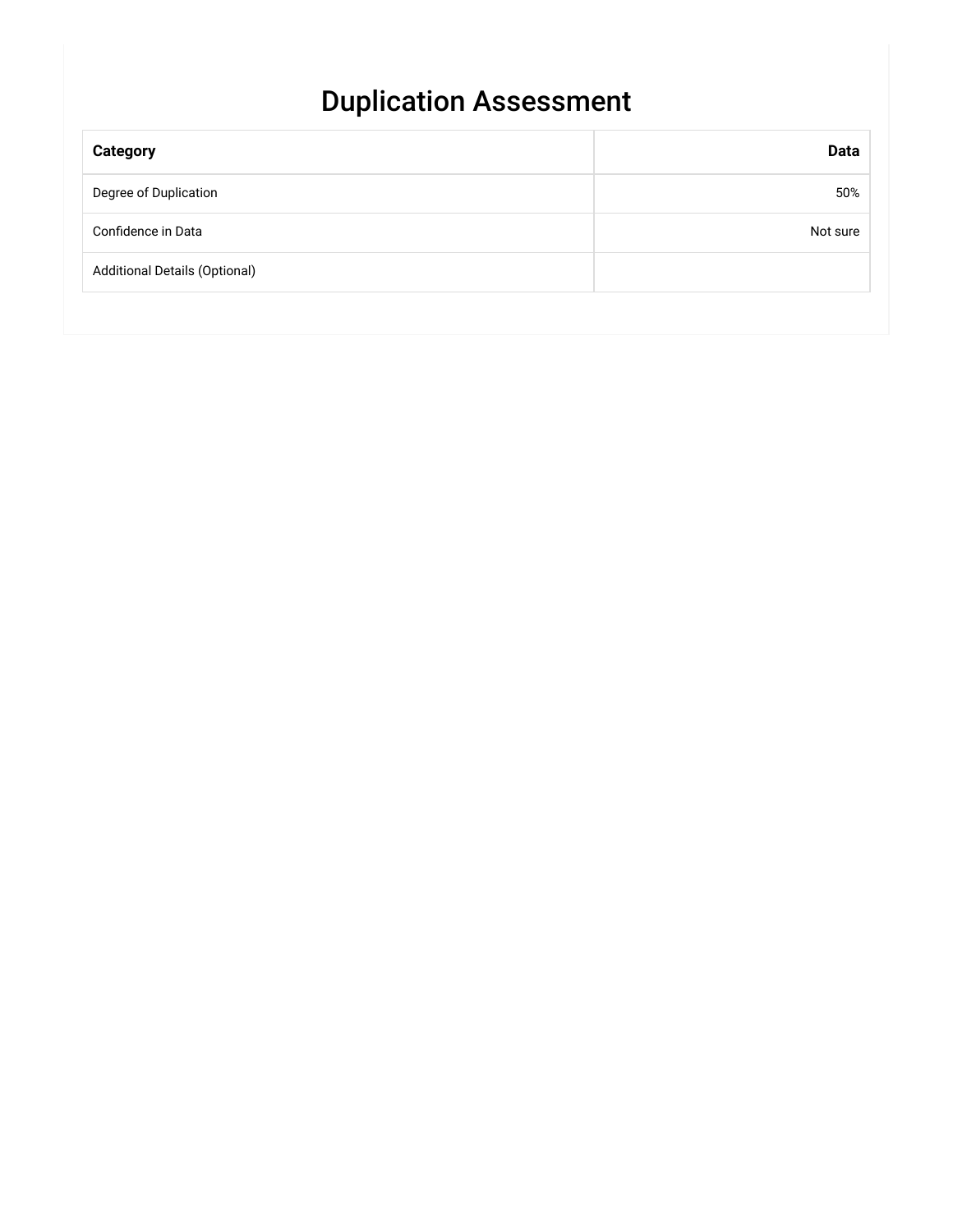## Duplication Assessment

| <b>Category</b>                      | <b>Data</b> |
|--------------------------------------|-------------|
| Degree of Duplication                | 50%         |
| Confidence in Data                   | Not sure    |
| <b>Additional Details (Optional)</b> |             |
|                                      |             |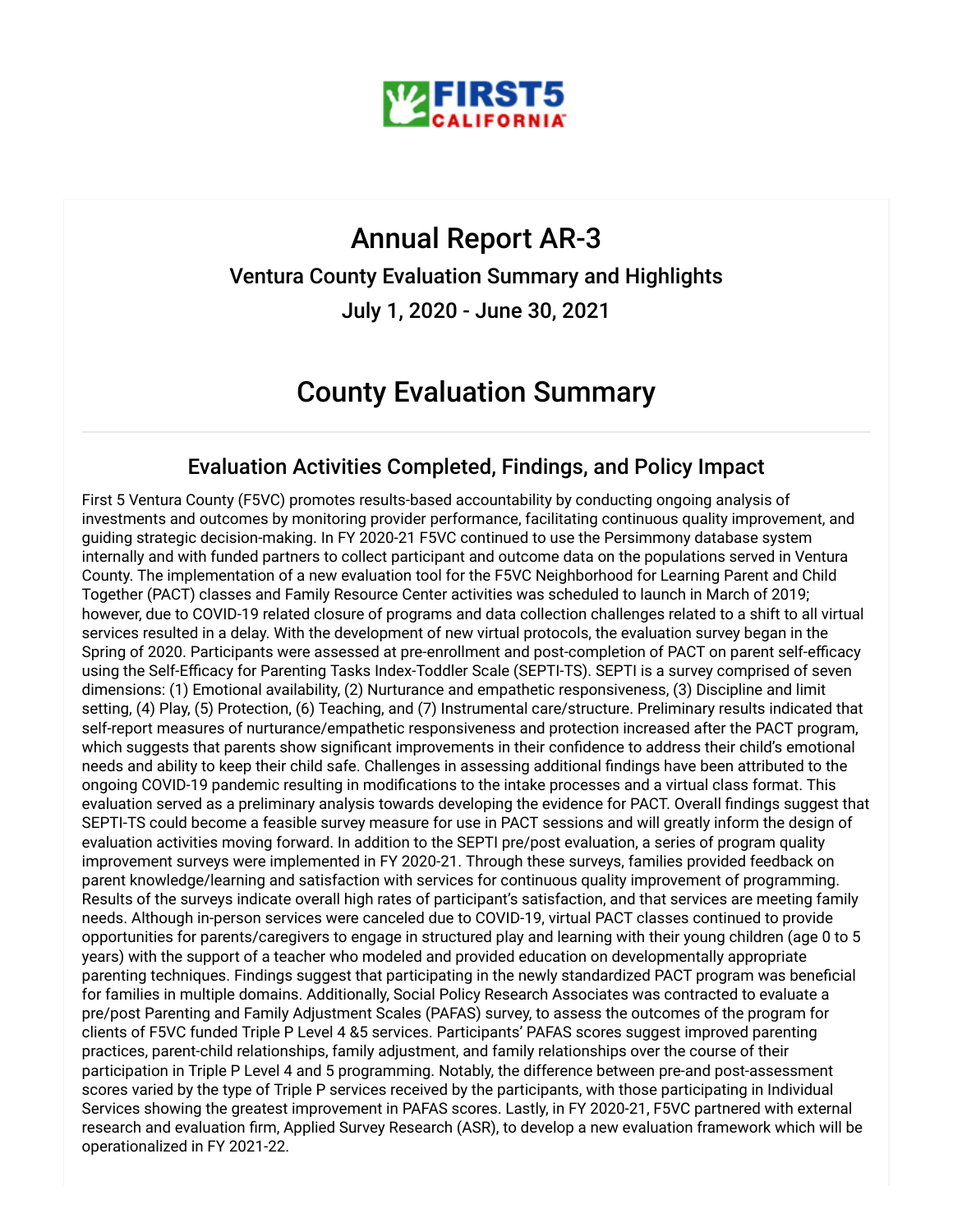

#### Annual Report AR-3

#### Ventura County Evaluation Summary and Highlights

July 1, 2020 - June 30, 2021

#### County Evaluation Summary

#### Evaluation Activities Completed, Findings, and Policy Impact

First 5 Ventura County (F5VC) promotes results-based accountability by conducting ongoing analysis of investments and outcomes by monitoring provider performance, facilitating continuous quality improvement, and guiding strategic decision-making. In FY 2020-21 F5VC continued to use the Persimmony database system internally and with funded partners to collect participant and outcome data on the populations served in Ventura County. The implementation of a new evaluation tool for the F5VC Neighborhood for Learning Parent and Child Together (PACT) classes and Family Resource Center activities was scheduled to launch in March of 2019; however, due to COVID-19 related closure of programs and data collection challenges related to a shift to all virtual services resulted in a delay. With the development of new virtual protocols, the evaluation survey began in the Spring of 2020. Participants were assessed at pre-enrollment and post-completion of PACT on parent self-efficacy using the Self-Efficacy for Parenting Tasks Index-Toddler Scale (SEPTI-TS). SEPTI is a survey comprised of seven dimensions: (1) Emotional availability, (2) Nurturance and empathetic responsiveness, (3) Discipline and limit setting, (4) Play, (5) Protection, (6) Teaching, and (7) Instrumental care/structure. Preliminary results indicated that self-report measures of nurturance/empathetic responsiveness and protection increased after the PACT program, which suggests that parents show significant improvements in their confidence to address their child's emotional needs and ability to keep their child safe. Challenges in assessing additional findings have been attributed to the ongoing COVID-19 pandemic resulting in modifications to the intake processes and a virtual class format. This evaluation served as a preliminary analysis towards developing the evidence for PACT. Overall findings suggest that SEPTI-TS could become a feasible survey measure for use in PACT sessions and will greatly inform the design of evaluation activities moving forward. In addition to the SEPTI pre/post evaluation, a series of program quality improvement surveys were implemented in FY 2020-21. Through these surveys, families provided feedback on parent knowledge/learning and satisfaction with services for continuous quality improvement of programming. Results of the surveys indicate overall high rates of participant's satisfaction, and that services are meeting family needs. Although in-person services were canceled due to COVID-19, virtual PACT classes continued to provide opportunities for parents/caregivers to engage in structured play and learning with their young children (age 0 to 5 years) with the support of a teacher who modeled and provided education on developmentally appropriate parenting techniques. Findings suggest that participating in the newly standardized PACT program was beneficial for families in multiple domains. Additionally, Social Policy Research Associates was contracted to evaluate a pre/post Parenting and Family Adjustment Scales (PAFAS) survey, to assess the outcomes of the program for clients of F5VC funded Triple P Level 4 &5 services. Participants' PAFAS scores suggest improved parenting practices, parent-child relationships, family adjustment, and family relationships over the course of their participation in Triple P Level 4 and 5 programming. Notably, the difference between pre-and post-assessment scores varied by the type of Triple P services received by the participants, with those participating in Individual Services showing the greatest improvement in PAFAS scores. Lastly, in FY 2020-21, F5VC partnered with external research and evaluation firm, Applied Survey Research (ASR), to develop a new evaluation framework which will be operationalized in FY 2021-22.